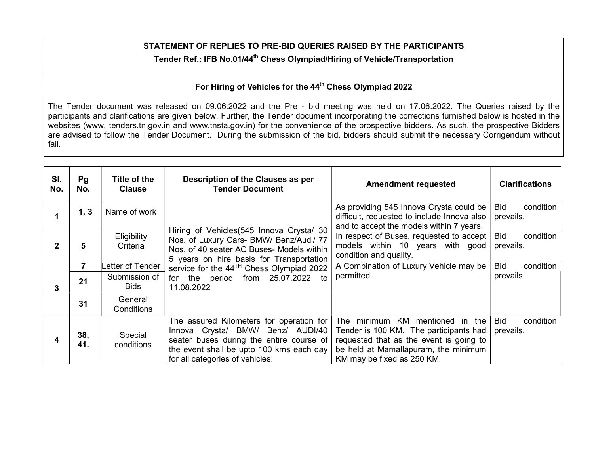## STATEMENT OF REPLIES TO PRE-BID QUERIES RAISED BY THE PARTICIPANTS

## Tender Ref.: IFB No.01/44<sup>th</sup> Chess Olympiad/Hiring of Vehicle/Transportation

## For Hiring of Vehicles for the 44<sup>th</sup> Chess Olympiad 2022

The Tender document was released on 09.06.2022 and the Pre - bid meeting was held on 17.06.2022. The Queries raised by the participants and clarifications are given below. Further, the Tender document incorporating the corrections furnished below is hosted in the websites (www. tenders.tn.gov.in and www.tnsta.gov.in) for the convenience of the prospective bidders. As such, the prospective Bidders are advised to follow the Tender Document. During the submission of the bid, bidders should submit the necessary Corrigendum without fail.

| SI.<br>No. | Pg<br>No.  | Title of the<br><b>Clause</b> | Description of the Clauses as per<br><b>Tender Document</b>                                                                                                                                              | <b>Amendment requested</b>                                                                                                                                                                       | <b>Clarifications</b>                |
|------------|------------|-------------------------------|----------------------------------------------------------------------------------------------------------------------------------------------------------------------------------------------------------|--------------------------------------------------------------------------------------------------------------------------------------------------------------------------------------------------|--------------------------------------|
|            | 1, 3       | Name of work                  | Hiring of Vehicles (545 Innova Crysta/ 30                                                                                                                                                                | As providing 545 Innova Crysta could be<br>difficult, requested to include Innova also<br>and to accept the models within 7 years.                                                               | condition<br>Bid<br>prevails.        |
| 2          | 5          | Eligibility<br>Criteria       | Nos. of Luxury Cars- BMW/ Benz/Audi/ 77<br>Nos. of 40 seater AC Buses- Models within<br>5 years on hire basis for Transportation                                                                         | In respect of Buses, requested to accept<br>models within 10 years with good<br>condition and quality.                                                                                           | condition<br><b>Bid</b><br>prevails. |
| 3          |            | Letter of Tender              | service for the 44 <sup>TH</sup> Chess Olympiad 2022                                                                                                                                                     | A Combination of Luxury Vehicle may be                                                                                                                                                           | <b>Bid</b><br>condition              |
|            | 21         | Submission of<br><b>Bids</b>  | period from 25.07.2022 to<br>for the<br>11.08.2022                                                                                                                                                       | permitted.                                                                                                                                                                                       | prevails.                            |
|            | 31         | General<br>Conditions         |                                                                                                                                                                                                          |                                                                                                                                                                                                  |                                      |
|            | 38,<br>41. | Special<br>conditions         | The assured Kilometers for operation for<br>Innova Crysta/ BMW/ Benz/ AUDI/40<br>seater buses during the entire course of<br>the event shall be upto 100 kms each day<br>for all categories of vehicles. | The minimum KM<br>mentioned in<br>the<br>Tender is 100 KM. The participants had<br>requested that as the event is going to<br>be held at Mamallapuram, the minimum<br>KM may be fixed as 250 KM. | <b>Bid</b><br>condition<br>prevails. |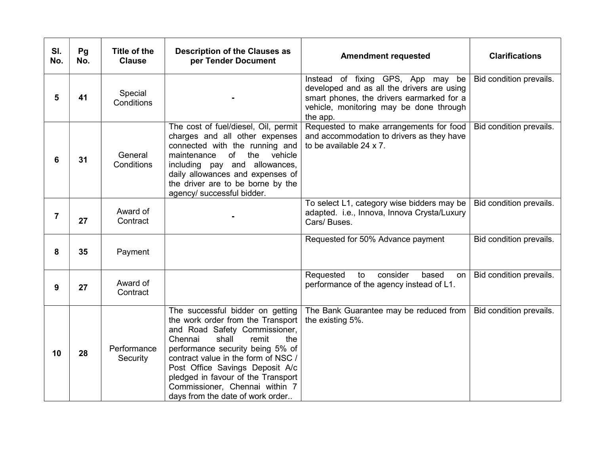| SI.<br>No. | Pg<br>No. | <b>Title of the</b><br><b>Clause</b> | <b>Description of the Clauses as</b><br>per Tender Document                                                                                                                                                                                                                                                                                                          | <b>Amendment requested</b>                                                                                                                                                          | <b>Clarifications</b>   |
|------------|-----------|--------------------------------------|----------------------------------------------------------------------------------------------------------------------------------------------------------------------------------------------------------------------------------------------------------------------------------------------------------------------------------------------------------------------|-------------------------------------------------------------------------------------------------------------------------------------------------------------------------------------|-------------------------|
| 5          | 41        | Special<br>Conditions                |                                                                                                                                                                                                                                                                                                                                                                      | Instead of fixing GPS, App may be<br>developed and as all the drivers are using<br>smart phones, the drivers earmarked for a<br>vehicle, monitoring may be done through<br>the app. | Bid condition prevails. |
| 6          | 31        | General<br>Conditions                | The cost of fuel/diesel, Oil, permit<br>charges and all other expenses<br>connected with the running and<br>of<br>maintenance<br>the<br>vehicle<br>including pay and allowances,<br>daily allowances and expenses of<br>the driver are to be borne by the<br>agency/ successful bidder.                                                                              | Requested to make arrangements for food<br>and accommodation to drivers as they have<br>to be available $24 \times 7$ .                                                             | Bid condition prevails. |
| 7          | 27        | Award of<br>Contract                 |                                                                                                                                                                                                                                                                                                                                                                      | To select L1, category wise bidders may be<br>adapted. i.e., Innova, Innova Crysta/Luxury<br>Cars/ Buses.                                                                           | Bid condition prevails. |
| 8          | 35        | Payment                              |                                                                                                                                                                                                                                                                                                                                                                      | Requested for 50% Advance payment                                                                                                                                                   | Bid condition prevails. |
| 9          | 27        | Award of<br>Contract                 |                                                                                                                                                                                                                                                                                                                                                                      | consider<br>Requested<br>to<br>based<br>on<br>performance of the agency instead of L1.                                                                                              | Bid condition prevails. |
| 10         | 28        | Performance<br>Security              | The successful bidder on getting<br>the work order from the Transport<br>and Road Safety Commissioner,<br>shall<br>Chennai<br>remit<br>the<br>performance security being 5% of<br>contract value in the form of NSC /<br>Post Office Savings Deposit A/c<br>pledged in favour of the Transport<br>Commissioner, Chennai within 7<br>days from the date of work order | The Bank Guarantee may be reduced from<br>the existing 5%.                                                                                                                          | Bid condition prevails. |